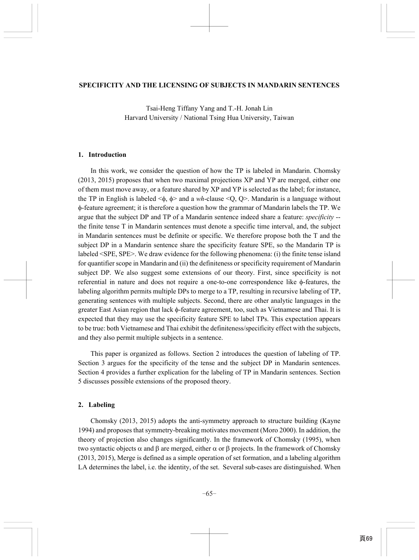### **SPECIFICITY AND THE LICENSING OF SUBJECTS IN MANDARIN SENTENCES**

Tsai-Heng Tiffany Yang and T.-H. Jonah Lin Harvard University / National Tsing Hua University, Taiwan

## **1. Introduction**

In this work, we consider the question of how the TP is labeled in Mandarin. Chomsky (2013, 2015) proposes that when two maximal projections XP and YP are merged, either one of them must move away, or a feature shared by XP and YP is selected as the label; for instance, the TP in English is labeled  $\leq b$ ,  $\phi$  and a *wh*-clause  $\leq$  Q. Q  $>$ . Mandarin is a language without φ-feature agreement; it is therefore a question how the grammar of Mandarin labels the TP. We argue that the subject DP and TP of a Mandarin sentence indeed share a feature: *specificity* - the finite tense T in Mandarin sentences must denote a specific time interval, and, the subject in Mandarin sentences must be definite or specific. We therefore propose both the T and the subject DP in a Mandarin sentence share the specificity feature SPE, so the Mandarin TP is labeled <SPE, SPE>. We draw evidence for the following phenomena: (i) the finite tense island for quantifier scope in Mandarin and (ii) the definiteness or specificity requirement of Mandarin subject DP. We also suggest some extensions of our theory. First, since specificity is not referential in nature and does not require a one-to-one correspondence like φ-features, the labeling algorithm permits multiple DPs to merge to a TP, resulting in recursive labeling of TP, generating sentences with multiple subjects. Second, there are other analytic languages in the greater East Asian region that lack φ-feature agreement, too, such as Vietnamese and Thai. It is expected that they may use the specificity feature SPE to label TPs. This expectation appears to be true: both Vietnamese and Thai exhibit the definiteness/specificity effect with the subjects, and they also permit multiple subjects in a sentence.

 This paper is organized as follows. Section 2 introduces the question of labeling of TP. Section 3 argues for the specificity of the tense and the subject DP in Mandarin sentences. Section 4 provides a further explication for the labeling of TP in Mandarin sentences. Section 5 discusses possible extensions of the proposed theory.

## **2. Labeling**

Chomsky (2013, 2015) adopts the anti-symmetry approach to structure building (Kayne 1994) and proposes that symmetry-breaking motivates movement (Moro 2000). In addition, the theory of projection also changes significantly. In the framework of Chomsky (1995), when two syntactic objects α and β are merged, either α or β projects. In the framework of Chomsky (2013, 2015), Merge is defined as a simple operation of set formation, and a labeling algorithm LA determines the label, i.e. the identity, of the set. Several sub-cases are distinguished. When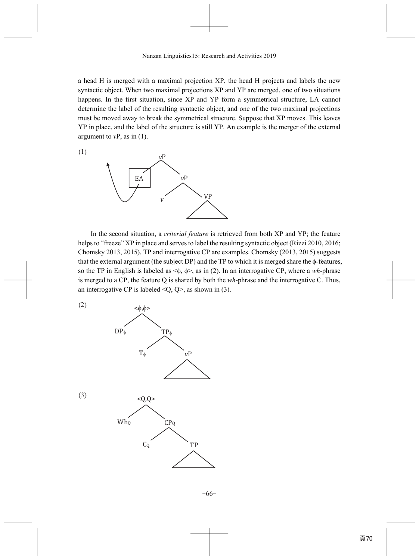a head H is merged with a maximal projection XP, the head H projects and labels the new syntactic object. When two maximal projections XP and YP are merged, one of two situations happens. In the first situation, since XP and YP form a symmetrical structure, LA cannot determine the label of the resulting syntactic object, and one of the two maximal projections must be moved away to break the symmetrical structure. Suppose that XP moves. This leaves YP in place, and the label of the structure is still YP. An example is the merger of the external argument to  $vP$ , as in (1).

(1) 



In the second situation, a *criterial feature* is retrieved from both XP and YP; the feature helps to "freeze" XP in place and serves to label the resulting syntactic object (Rizzi 2010, 2016; Chomsky 2013, 2015). TP and interrogative CP are examples. Chomsky (2013, 2015) suggests that the external argument (the subject DP) and the TP to which it is merged share the φ-features, so the TP in English is labeled as  $\leq b$ ,  $\phi$ , as in (2). In an interrogative CP, where a *wh*-phrase is merged to a CP, the feature Q is shared by both the *wh*-phrase and the interrogative C. Thus, an interrogative CP is labeled  $\langle Q, Q \rangle$ , as shown in (3).

(2)

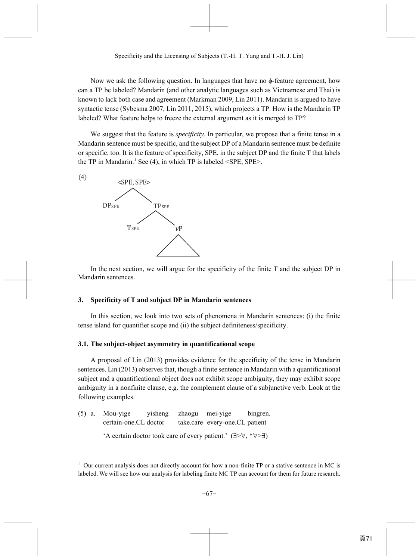Now we ask the following question. In languages that have no ϕ-feature agreement, how can a TP be labeled? Mandarin (and other analytic languages such as Vietnamese and Thai) is known to lack both case and agreement (Markman 2009, Lin 2011). Mandarin is argued to have syntactic tense (Sybesma 2007, Lin 2011, 2015), which projects a TP. How is the Mandarin TP labeled? What feature helps to freeze the external argument as it is merged to TP?

 We suggest that the feature is *specificity*. In particular, we propose that a finite tense in a Mandarin sentence must be specific, and the subject DP of a Mandarin sentence must be definite or specific, too. It is the feature of specificity, SPE, in the subject DP and the finite T that labels the TP in Mandarin.<sup>1</sup> See (4), in which TP is labeled  $\leq$ SPE, SPE>.



In the next section, we will argue for the specificity of the finite T and the subject DP in Mandarin sentences.

## **3. Specificity of T and subject DP in Mandarin sentences**

In this section, we look into two sets of phenomena in Mandarin sentences: (i) the finite tense island for quantifier scope and (ii) the subject definiteness/specificity.

# **3.1. The subject-object asymmetry in quantificational scope**

A proposal of Lin (2013) provides evidence for the specificity of the tense in Mandarin sentences. Lin (2013) observes that, though a finite sentence in Mandarin with a quantificational subject and a quantificational object does not exhibit scope ambiguity, they may exhibit scope ambiguity in a nonfinite clause, e.g. the complement clause of a subjunctive verb. Look at the following examples.

|  | (5) a. Mou-yige yisheng zhaogu mei-yige                                                  |  |  |                                | bingren. |  |  |  |
|--|------------------------------------------------------------------------------------------|--|--|--------------------------------|----------|--|--|--|
|  | certain-one.CL doctor                                                                    |  |  | take.care every-one.CL patient |          |  |  |  |
|  | 'A certain doctor took care of every patient.' $(\exists \forall x, *\forall z \exists)$ |  |  |                                |          |  |  |  |

-

<sup>&</sup>lt;sup>1</sup> Our current analysis does not directly account for how a non-finite TP or a stative sentence in MC is labeled. We will see how our analysis for labeling finite MC TP can account for them for future research.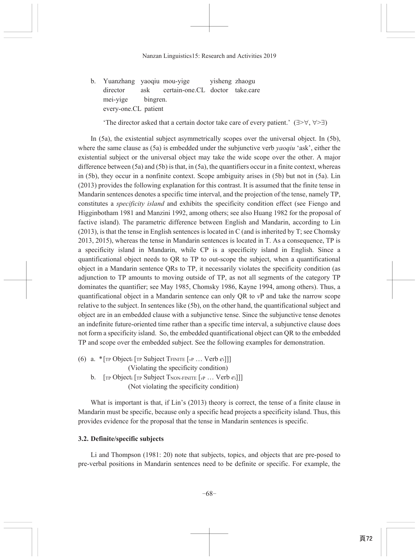b. Yuanzhang yaoqiu mou-yige yisheng zhaogu director ask certain-one.CL doctor take.care mei-vige bingren. every-one.CL patient

'The director asked that a certain doctor take care of every patient.'  $(\exists \forall, \forall \exists)$ 

In  $(5a)$ , the existential subject asymmetrically scopes over the universal object. In  $(5b)$ , where the same clause as (5a) is embedded under the subjunctive verb *yaogiu* 'ask', either the existential subject or the universal object may take the wide scope over the other. A major difference between  $(5a)$  and  $(5b)$  is that, in  $(5a)$ , the quantifiers occur in a finite context, whereas in  $(5b)$ , they occur in a nonfinite context. Scope ambiguity arises in  $(5b)$  but not in  $(5a)$ . Lin  $(2013)$  provides the following explanation for this contrast. It is assumed that the finite tense in Mandarin sentences denotes a specific time interval, and the projection of the tense, namely TP, constitutes a *specificity island* and exhibits the specificity condition effect (see Fiengo and Higginbotham 1981 and Manzini 1992, among others; see also Huang 1982 for the proposal of factive island). The parametric difference between English and Mandarin, according to Lin  $(2013)$ , is that the tense in English sentences is located in C (and is inherited by T; see Chomsky 2013, 2015), whereas the tense in Mandarin sentences is located in T. As a consequence, TP is a specificity island in Mandarin, while CP is a specificity island in English. Since a quantificational object needs to QR to TP to out-scope the subject, when a quantificational object in a Mandarin sentence ORs to TP, it necessarily violates the specificity condition (as adjunction to TP amounts to moving outside of TP, as not all segments of the category TP dominates the quantifier; see May 1985, Chomsky 1986, Kayne 1994, among others). Thus, a quantificational object in a Mandarin sentence can only OR to vP and take the narrow scope relative to the subject. In sentences like  $(5b)$ , on the other hand, the quantificational subject and object are in an embedded clause with a subjunctive tense. Since the subjunctive tense denotes an indefinite future-oriented time rather than a specific time interval, a subjunctive clause does not form a specificity island. So, the embedded quantificational object can QR to the embedded TP and scope over the embedded subject. See the following examples for demonstration.

- (6) a.  $\cdot$  [<sub>TP</sub> Object<sub>i</sub> [<sub>TP</sub> Subject T<sub>FINITE</sub> [<sub>vP</sub> ... Verb  $e_i$ ]]] (Violating the specificity condition)
	- b.  $[TP\text{ Object}_i | TP\text{ Subject} \text{Two-FINITE } [vP \text{ ... } \text{Verb } e_i]]]$ (Not violating the specificity condition)

What is important is that, if  $Lin's$  (2013) theory is correct, the tense of a finite clause in Mandarin must be specific, because only a specific head projects a specificity island. Thus, this provides evidence for the proposal that the tense in Mandarin sentences is specific.

## 3.2. Definite/specific subjects

Li and Thompson (1981: 20) note that subjects, topics, and objects that are pre-posed to pre-verbal positions in Mandarin sentences need to be definite or specific. For example, the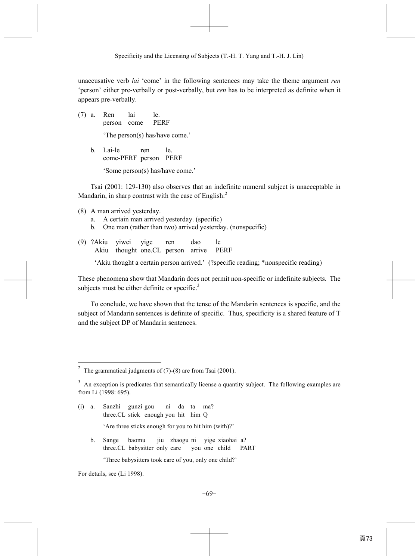unaccusative verb *lai* 'come' in the following sentences may take the theme argument *ren* 'person' either pre-verbally or post-verbally, but *ren* has to be interpreted as definite when it appears pre-verbally.

- (7) a. Ren lai le. person come PERF 'The person(s) has/have come.'
	- b. Lai-le ren le. come-PERF person PERF

'Some person(s) has/have come.'

Tsai (2001: 129-130) also observes that an indefinite numeral subject is unacceptable in Mandarin, in sharp contrast with the case of  $English:$ <sup>2</sup>

- (8) A man arrived yesterday.
	- a. A certain man arrived yesterday. (specific)
	- b. One man (rather than two) arrived yesterday. (nonspecific)
- (9) ?Akiu yiwei yige ren dao le Akiu thought one.CL person arrive PERF

'Akiu thought a certain person arrived.' (?specific reading; \*nonspecific reading)

These phenomena show that Mandarin does not permit non-specific or indefinite subjects. The subjects must be either definite or specific. $3$ 

 To conclude, we have shown that the tense of the Mandarin sentences is specific, and the subject of Mandarin sentences is definite of specific. Thus, specificity is a shared feature of T and the subject DP of Mandarin sentences.

- (i) a. Sanzhi gunzi gou ni da ta ma? three.CL stick enough you hit him Q 'Are three sticks enough for you to hit him (with)?'
	- b. Sange baomu jiu zhaogu ni yige xiaohai a? three.CL babysitter only care you one child PART
		- 'Three babysitters took care of you, only one child?'

For details, see (Li 1998).

<sup>&</sup>lt;sup>2</sup> The grammatical judgments of  $(7)$ - $(8)$  are from Tsai (2001).

 $3$  An exception is predicates that semantically license a quantity subject. The following examples are from Li (1998: 695).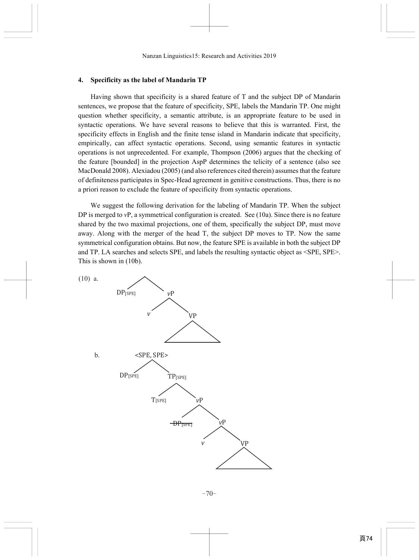### **4. Specificity as the label of Mandarin TP**

Having shown that specificity is a shared feature of T and the subject DP of Mandarin sentences, we propose that the feature of specificity, SPE, labels the Mandarin TP. One might question whether specificity, a semantic attribute, is an appropriate feature to be used in syntactic operations. We have several reasons to believe that this is warranted. First, the specificity effects in English and the finite tense island in Mandarin indicate that specificity, empirically, can affect syntactic operations. Second, using semantic features in syntactic operations is not unprecedented. For example, Thompson (2006) argues that the checking of the feature [bounded] in the projection AspP determines the telicity of a sentence (also see MacDonald 2008). Alexiadou (2005) (and also references cited therein) assumes that the feature of definiteness participates in Spec-Head agreement in genitive constructions. Thus, there is no a priori reason to exclude the feature of specificity from syntactic operations.

 We suggest the following derivation for the labeling of Mandarin TP. When the subject DP is merged to *vP*, a symmetrical configuration is created. See (10a). Since there is no feature shared by the two maximal projections, one of them, specifically the subject DP, must move away. Along with the merger of the head T, the subject DP moves to TP. Now the same symmetrical configuration obtains. But now, the feature SPE is available in both the subject DP and TP. LA searches and selects SPE, and labels the resulting syntactic object as <SPE, SPE>. This is shown in (10b).

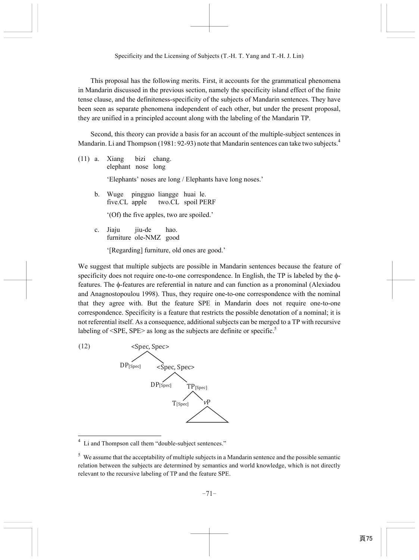This proposal has the following merits. First, it accounts for the grammatical phenomena in Mandarin discussed in the previous section, namely the specificity island effect of the finite tense clause, and the definiteness-specificity of the subjects of Mandarin sentences. They have been seen as separate phenomena independent of each other, but under the present proposal, they are unified in a principled account along with the labeling of the Mandarin TP.

 Second, this theory can provide a basis for an account of the multiple-subject sentences in Mandarin. Li and Thompson (1981: 92-93) note that Mandarin sentences can take two subjects.<sup>4</sup>

(11) a. Xiang bizi chang. elephant nose long

'Elephants' noses are long / Elephants have long noses.'

 b. Wuge pingguo liangge huai le. five.CL apple two.CL spoil PERF

'(Of) the five apples, two are spoiled.'

 c. Jiaju jiu-de hao. furniture ole-NMZ good

'[Regarding] furniture, old ones are good.'

We suggest that multiple subjects are possible in Mandarin sentences because the feature of specificity does not require one-to-one correspondence. In English, the TP is labeled by the φfeatures. The φ-features are referential in nature and can function as a pronominal (Alexiadou and Anagnostopoulou 1998). Thus, they require one-to-one correspondence with the nominal that they agree with. But the feature SPE in Mandarin does not require one-to-one correspondence. Specificity is a feature that restricts the possible denotation of a nominal; it is not referential itself. As a consequence, additional subjects can be merged to a TP with recursive labeling of  $\leq$ SPE, SPE $>$  as long as the subjects are definite or specific.<sup>5</sup>



<sup>4</sup> Li and Thompson call them "double-subject sentences."

-

 $5$  We assume that the acceptability of multiple subjects in a Mandarin sentence and the possible semantic relation between the subjects are determined by semantics and world knowledge, which is not directly relevant to the recursive labeling of TP and the feature SPE.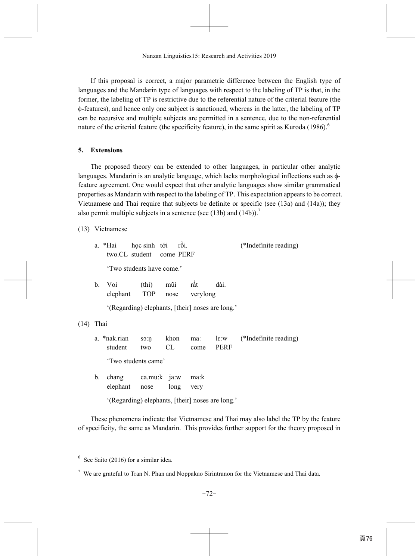If this proposal is correct, a major parametric difference between the English type of languages and the Mandarin type of languages with respect to the labeling of TP is that, in the former, the labeling of TP is restrictive due to the referential nature of the criterial feature (the φ-features), and hence only one subject is sanctioned, whereas in the latter, the labeling of TP can be recursive and multiple subjects are permitted in a sentence, due to the non-referential nature of the criterial feature (the specificity feature), in the same spirit as Kuroda  $(1986)^6$ 

## **5. Extensions**

The proposed theory can be extended to other languages, in particular other analytic languages. Mandarin is an analytic language, which lacks morphological inflections such as φfeature agreement. One would expect that other analytic languages show similar grammatical properties as Mandarin with respect to the labeling of TP. This expectation appears to be correct. Vietnamese and Thai require that subjects be definite or specific (see (13a) and (14a)); they also permit multiple subjects in a sentence (see  $(13b)$  and  $(14b)$ ).<sup>7</sup>

(13) Vietnamese

|      | học sinh tới rồi.<br>a. *Hai<br>two.CL student come PERF<br>'Two students have come.' |                                |                        |                 |              |             | (*Indefinite reading)                          |  |
|------|---------------------------------------------------------------------------------------|--------------------------------|------------------------|-----------------|--------------|-------------|------------------------------------------------|--|
|      |                                                                                       | b. Voi<br>elephant TOP         | (thi)                  | mũi rất<br>nose | verylong     | dài.        |                                                |  |
|      | '(Regarding) elephants, [their] noses are long.'                                      |                                |                        |                 |              |             |                                                |  |
| (14) | Thai                                                                                  |                                |                        |                 |              |             |                                                |  |
|      |                                                                                       | a. *nak.rian<br>student        | so: $\eta$ khon<br>two | CL              | come         | <b>PERF</b> | ma: $l\varepsilon$ : $w$ (*Indefinite reading) |  |
|      | 'Two students came'                                                                   |                                |                        |                 |              |             |                                                |  |
|      | $\mathbf{b}$ .                                                                        | chang ca.mu:k ja:w<br>elephant | nose                   | long            | ma:k<br>very |             |                                                |  |
|      | '(Regarding) elephants, [their] noses are long.'                                      |                                |                        |                 |              |             |                                                |  |

These phenomena indicate that Vietnamese and Thai may also label the TP by the feature of specificity, the same as Mandarin. This provides further support for the theory proposed in

-

<sup>6</sup> See Saito (2016) for a similar idea.

<sup>&</sup>lt;sup>7</sup> We are grateful to Tran N. Phan and Noppakao Sirintranon for the Vietnamese and Thai data.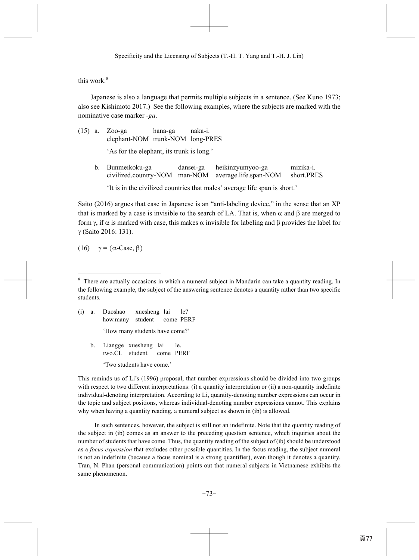this work $8$ 

 Japanese is also a language that permits multiple subjects in a sentence. (See Kuno 1973; also see Kishimoto 2017.) See the following examples, where the subjects are marked with the nominative case marker -*ga*.

(15) a. Zoo-ga hana-ga naka-i. elephant-NOM trunk-NOM long-PRES 'As for the elephant, its trunk is long.' b. Bunmeikoku-ga dansei-ga heikinzyumyoo-ga mizika-i. civilized.country-NOM man-NOM average.life.span-NOM short.PRES

'It is in the civilized countries that males' average life span is short.'

Saito (2016) argues that case in Japanese is an "anti-labeling device," in the sense that an XP that is marked by a case is invisible to the search of LA. That is, when  $\alpha$  and β are merged to form γ, if  $\alpha$  is marked with case, this makes  $\alpha$  invisible for labeling and β provides the label for γ (Saito 2016: 131).

(16)  $\gamma = {\alpha$ -Case, β}

-

- (i) a. Duoshao xuesheng lai le? how.many student come PERF 'How many students have come?'
	- b. Liangge xuesheng lai le. two.CL student come PERF 'Two students have come.'

This reminds us of Li's (1996) proposal, that number expressions should be divided into two groups with respect to two different interpretations: (i) a quantity interpretation or (ii) a non-quantity indefinite individual-denoting interpretation. According to Li, quantity-denoting number expressions can occur in the topic and subject positions, whereas individual-denoting number expressions cannot. This explains why when having a quantity reading, a numeral subject as shown in (ib) is allowed.

 In such sentences, however, the subject is still not an indefinite. Note that the quantity reading of the subject in (ib) comes as an answer to the preceding question sentence, which inquiries about the number of students that have come. Thus, the quantity reading of the subject of (ib) should be understood as a *focus expression* that excludes other possible quantities. In the focus reading, the subject numeral is not an indefinite (because a focus nominal is a strong quantifier), even though it denotes a quantity. Tran, N. Phan (personal communication) points out that numeral subjects in Vietnamese exhibits the same phenomenon.

<sup>&</sup>lt;sup>8</sup> There are actually occasions in which a numeral subject in Mandarin can take a quantity reading. In the following example, the subject of the answering sentence denotes a quantity rather than two specific students.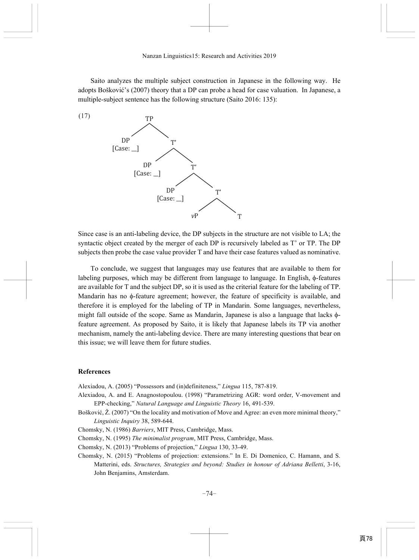Saito analyzes the multiple subject construction in Japanese in the following way. He adopts Bošković's (2007) theory that a DP can probe a head for case valuation. In Japanese, a multiple-subject sentence has the following structure (Saito 2016: 135):





Since case is an anti-labeling device, the DP subjects in the structure are not visible to LA; the syntactic object created by the merger of each DP is recursively labeled as T' or TP. The DP subjects then probe the case value provider T and have their case features valued as nominative.

 To conclude, we suggest that languages may use features that are available to them for labeling purposes, which may be different from language to language. In English, φ-features are available for T and the subject DP, so it is used as the criterial feature for the labeling of TP. Mandarin has no φ-feature agreement; however, the feature of specificity is available, and therefore it is employed for the labeling of TP in Mandarin. Some languages, nevertheless, might fall outside of the scope. Same as Mandarin, Japanese is also a language that lacks φfeature agreement. As proposed by Saito, it is likely that Japanese labels its TP via another mechanism, namely the anti-labeling device. There are many interesting questions that bear on this issue; we will leave them for future studies.

#### **References**

Alexiadou, A. (2005) "Possessors and (in)definiteness," *Lingua* 115, 787-819.

- Alexiadou, A. and E. Anagnostopoulou. (1998) "Parametrizing AGR: word order, V-movement and EPP-checking," *Natural Language and Linguistic Theory* 16, 491-539.
- Bošković, Ž. (2007) "On the locality and motivation of Move and Agree: an even more minimal theory," *Linguistic Inquiry* 38, 589-644.

Chomsky, N. (1986) *Barriers*, MIT Press, Cambridge, Mass.

Chomsky, N. (1995) *The minimalist program*, MIT Press, Cambridge, Mass.

Chomsky, N. (2013) "Problems of projection," *Lingua* 130, 33-49.

Chomsky, N. (2015) "Problems of projection: extensions." In E. Di Domenico, C. Hamann, and S. Matterini, eds. *Structures, Strategies and beyond: Studies in honour of Adriana Belletti*, 3-16, John Benjamins, Amsterdam.